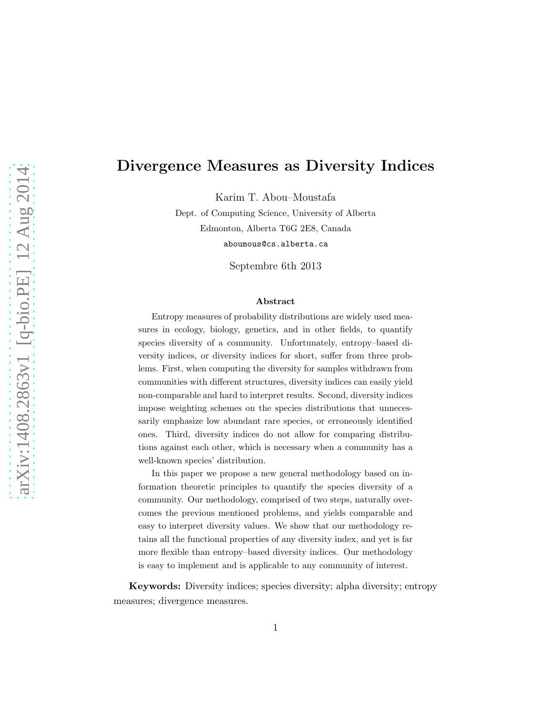# Divergence Measures as Diversity Indices

Karim T. Abou–Moustafa

Dept. of Computing Science, University of Alberta Edmonton, Alberta T6G 2E8, Canada aboumous@cs.alberta.ca

Septembre 6th 2013

#### Abstract

Entropy measures of probability distributions are widely used measures in ecology, biology, genetics, and in other fields, to quantify species diversity of a community. Unfortunately, entropy–based diversity indices, or diversity indices for short, suffer from three problems. First, when computing the diversity for samples withdrawn from communities with different structures, diversity indices can easily yield non-comparable and hard to interpret results. Second, diversity indices impose weighting schemes on the species distributions that unnecessarily emphasize low abundant rare species, or erroneously identified ones. Third, diversity indices do not allow for comparing distributions against each other, which is necessary when a community has a well-known species' distribution.

In this paper we propose a new general methodology based on information theoretic principles to quantify the species diversity of a community. Our methodology, comprised of two steps, naturally overcomes the previous mentioned problems, and yields comparable and easy to interpret diversity values. We show that our methodology retains all the functional properties of any diversity index, and yet is far more flexible than entropy–based diversity indices. Our methodology is easy to implement and is applicable to any community of interest.

Keywords: Diversity indices; species diversity; alpha diversity; entropy measures; divergence measures.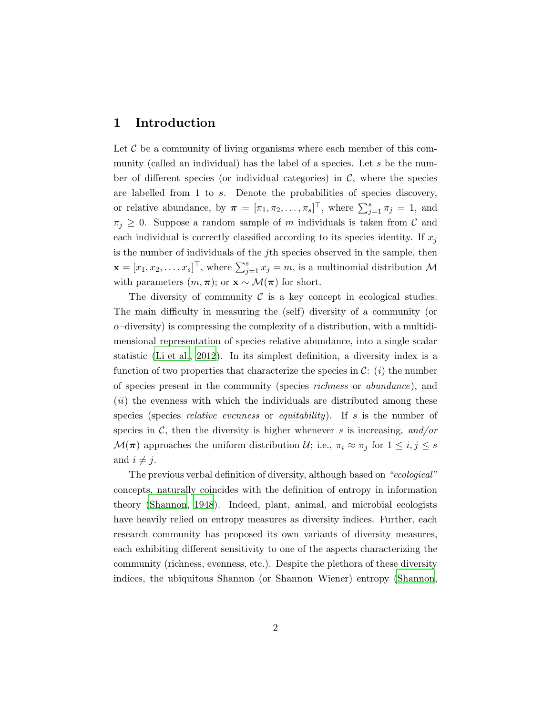### <span id="page-1-0"></span>1 Introduction

Let  $\mathcal C$  be a community of living organisms where each member of this community (called an individual) has the label of a species. Let  $s$  be the number of different species (or individual categories) in  $\mathcal{C}$ , where the species are labelled from 1 to s. Denote the probabilities of species discovery, or relative abundance, by  $\boldsymbol{\pi} = [\pi_1, \pi_2, \dots, \pi_s]^\top$ , where  $\sum_{j=1}^s \pi_j = 1$ , and  $\pi_j \geq 0$ . Suppose a random sample of m individuals is taken from C and each individual is correctly classified according to its species identity. If  $x_j$ is the number of individuals of the jth species observed in the sample, then  $\mathbf{x} = [x_1, x_2, \dots, x_s]^\top$ , where  $\sum_{j=1}^s x_j = m$ , is a multinomial distribution  $\mathcal M$ with parameters  $(m, \pi)$ ; or  $\mathbf{x} \sim \mathcal{M}(\pi)$  for short.

The diversity of community  $\mathcal C$  is a key concept in ecological studies. The main difficulty in measuring the (self) diversity of a community (or  $\alpha$ –diversity) is compressing the complexity of a distribution, with a multidimensional representation of species relative abundance, into a single scalar statistic [\(Li et al.](#page-18-0), [2012](#page-18-0)). In its simplest definition, a diversity index is a function of two properties that characterize the species in  $\mathcal{C}:$  (*i*) the number of species present in the community (species richness or abundance), and  $(ii)$  the evenness with which the individuals are distributed among these species (species *relative evenness* or *equitability*). If s is the number of species in  $\mathcal{C}$ , then the diversity is higher whenever s is increasing, and/or  $\mathcal{M}(\pi)$  approaches the uniform distribution  $\mathcal{U}$ ; i.e.,  $\pi_i \approx \pi_j$  for  $1 \leq i, j \leq s$ and  $i \neq j$ .

The previous verbal definition of diversity, although based on "ecological" concepts, naturally coincides with the definition of entropy in information theory [\(Shannon, 1948\)](#page-19-0). Indeed, plant, animal, and microbial ecologists have heavily relied on entropy measures as diversity indices. Further, each research community has proposed its own variants of diversity measures, each exhibiting different sensitivity to one of the aspects characterizing the community (richness, evenness, etc.). Despite the plethora of these diversity indices, the ubiquitous Shannon (or Shannon–Wiener) entropy [\(Shannon,](#page-19-0)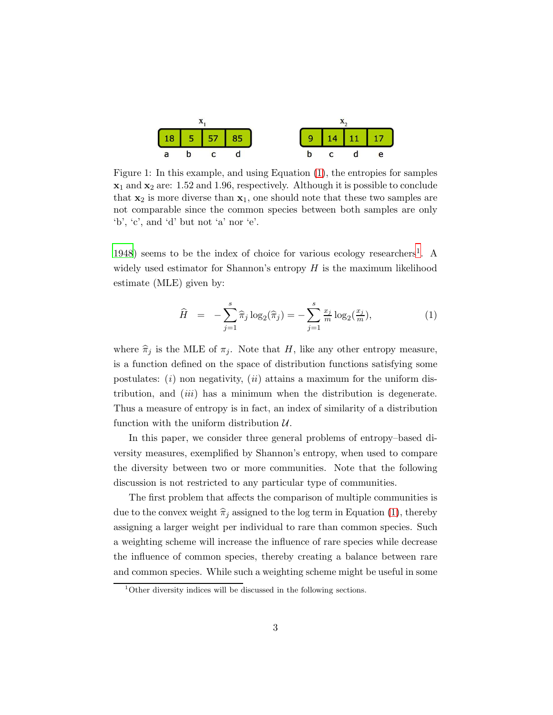<span id="page-2-2"></span>

Figure 1: In this example, and using Equation [\(1\)](#page-2-0), the entropies for samples  $x_1$  and  $x_2$  are: 1.52 and 1.96, respectively. Although it is possible to conclude that  $x_2$  is more diverse than  $x_1$ , one should note that these two samples are not comparable since the common species between both samples are only 'b', 'c', and 'd' but not 'a' nor 'e'.

[1948](#page-19-0)) seems to be the index of choice for various ecology researchers<sup>[1](#page-2-1)</sup>. A widely used estimator for Shannon's entropy  $H$  is the maximum likelihood estimate (MLE) given by:

<span id="page-2-0"></span>
$$
\widehat{H} = -\sum_{j=1}^{s} \widehat{\pi}_j \log_2(\widehat{\pi}_j) = -\sum_{j=1}^{s} \frac{x_j}{m} \log_2(\frac{x_j}{m}), \tag{1}
$$

where  $\hat{\pi}_j$  is the MLE of  $\pi_j$ . Note that H, like any other entropy measure, is a function defined on the space of distribution functions satisfying some postulates:  $(i)$  non negativity,  $(ii)$  attains a maximum for the uniform distribution, and  $(iii)$  has a minimum when the distribution is degenerate. Thus a measure of entropy is in fact, an index of similarity of a distribution function with the uniform distribution  $\mathcal{U}$ .

In this paper, we consider three general problems of entropy–based diversity measures, exemplified by Shannon's entropy, when used to compare the diversity between two or more communities. Note that the following discussion is not restricted to any particular type of communities.

The first problem that affects the comparison of multiple communities is due to the convex weight  $\hat{\pi}_j$  assigned to the log term in Equation [\(1\)](#page-2-0), thereby assigning a larger weight per individual to rare than common species. Such a weighting scheme will increase the influence of rare species while decrease the influence of common species, thereby creating a balance between rare and common species. While such a weighting scheme might be useful in some

<span id="page-2-1"></span> $1$ Other diversity indices will be discussed in the following sections.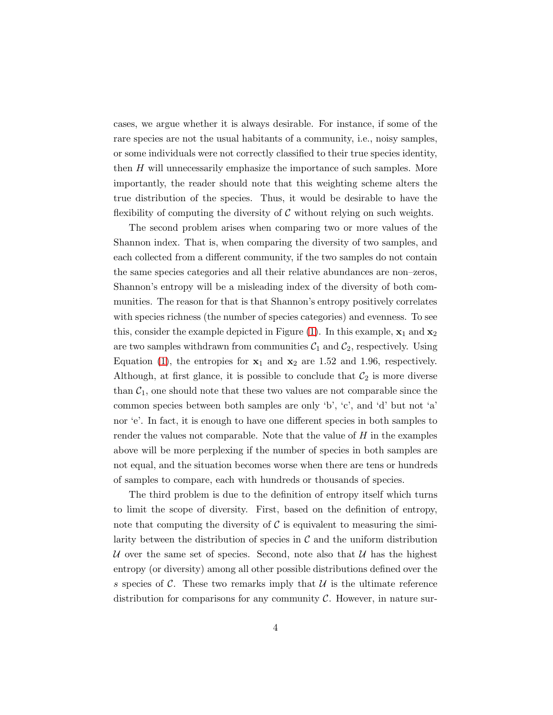cases, we argue whether it is always desirable. For instance, if some of the rare species are not the usual habitants of a community, i.e., noisy samples, or some individuals were not correctly classified to their true species identity, then  $H$  will unnecessarily emphasize the importance of such samples. More importantly, the reader should note that this weighting scheme alters the true distribution of the species. Thus, it would be desirable to have the flexibility of computing the diversity of  $\mathcal C$  without relying on such weights.

The second problem arises when comparing two or more values of the Shannon index. That is, when comparing the diversity of two samples, and each collected from a different community, if the two samples do not contain the same species categories and all their relative abundances are non–zeros, Shannon's entropy will be a misleading index of the diversity of both communities. The reason for that is that Shannon's entropy positively correlates with species richness (the number of species categories) and evenness. To see this, consider the example depicted in Figure [\(1\)](#page-2-2). In this example,  $x_1$  and  $x_2$ are two samples withdrawn from communities  $C_1$  and  $C_2$ , respectively. Using Equation [\(1\)](#page-2-0), the entropies for  $x_1$  and  $x_2$  are 1.52 and 1.96, respectively. Although, at first glance, it is possible to conclude that  $\mathcal{C}_2$  is more diverse than  $C_1$ , one should note that these two values are not comparable since the common species between both samples are only 'b', 'c', and 'd' but not 'a' nor 'e'. In fact, it is enough to have one different species in both samples to render the values not comparable. Note that the value of  $H$  in the examples above will be more perplexing if the number of species in both samples are not equal, and the situation becomes worse when there are tens or hundreds of samples to compare, each with hundreds or thousands of species.

The third problem is due to the definition of entropy itself which turns to limit the scope of diversity. First, based on the definition of entropy, note that computing the diversity of  $\mathcal C$  is equivalent to measuring the similarity between the distribution of species in  $\mathcal C$  and the uniform distribution U over the same set of species. Second, note also that  $U$  has the highest entropy (or diversity) among all other possible distributions defined over the s species of C. These two remarks imply that  $\mathcal{U}$  is the ultimate reference distribution for comparisons for any community  $\mathcal C$ . However, in nature sur-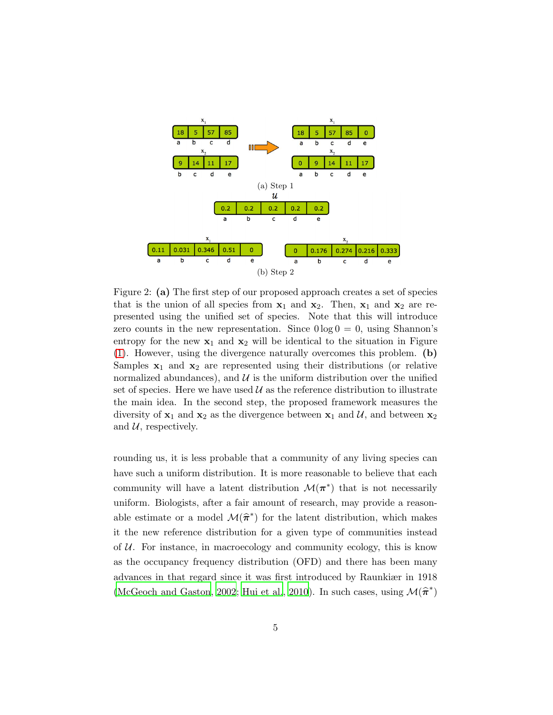<span id="page-4-0"></span>

<span id="page-4-1"></span>Figure 2: (a) The first step of our proposed approach creates a set of species that is the union of all species from  $x_1$  and  $x_2$ . Then,  $x_1$  and  $x_2$  are represented using the unified set of species. Note that this will introduce zero counts in the new representation. Since  $0 \log 0 = 0$ , using Shannon's entropy for the new  $x_1$  and  $x_2$  will be identical to the situation in Figure [\(1\)](#page-2-2). However, using the divergence naturally overcomes this problem. (b) Samples  $x_1$  and  $x_2$  are represented using their distributions (or relative normalized abundances), and  $\mathcal U$  is the uniform distribution over the unified set of species. Here we have used  $\mathcal U$  as the reference distribution to illustrate the main idea. In the second step, the proposed framework measures the diversity of  $x_1$  and  $x_2$  as the divergence between  $x_1$  and  $\mathcal{U}$ , and between  $x_2$ and  $U$ , respectively.

rounding us, it is less probable that a community of any living species can have such a uniform distribution. It is more reasonable to believe that each community will have a latent distribution  $\mathcal{M}(\pi^*)$  that is not necessarily uniform. Biologists, after a fair amount of research, may provide a reasonable estimate or a model  $\mathcal{M}(\hat{\pi}^*)$  for the latent distribution, which makes it the new reference distribution for a given type of communities instead of  $U$ . For instance, in macroecology and community ecology, this is know as the occupancy frequency distribution (OFD) and there has been many advances in that regard since it was first introduced by Raunkiær in 1918 [\(McGeoch and Gaston, 2002;](#page-18-1) [Hui et al.](#page-18-2), [2010\)](#page-18-2). In such cases, using  $\mathcal{M}(\widehat{\boldsymbol{\pi}}^*)$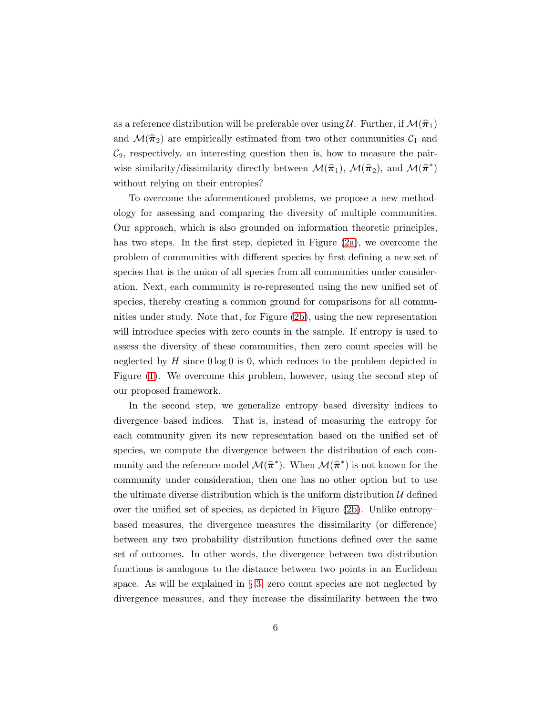as a reference distribution will be preferable over using U. Further, if  $\mathcal{M}(\hat{\pi}_1)$ and  $\mathcal{M}(\hat{\pi}_2)$  are empirically estimated from two other communities  $\mathcal{C}_1$  and  $\mathcal{C}_2$ , respectively, an interesting question then is, how to measure the pairwise similarity/dissimilarity directly between  $\mathcal{M}(\hat{\pi}_1)$ ,  $\mathcal{M}(\hat{\pi}_2)$ , and  $\mathcal{M}(\hat{\pi}^*)$ without relying on their entropies?

To overcome the aforementioned problems, we propose a new methodology for assessing and comparing the diversity of multiple communities. Our approach, which is also grounded on information theoretic principles, has two steps. In the first step, depicted in Figure [\(2a\)](#page-4-0), we overcome the problem of communities with different species by first defining a new set of species that is the union of all species from all communities under consideration. Next, each community is re-represented using the new unified set of species, thereby creating a common ground for comparisons for all communities under study. Note that, for Figure [\(2b\)](#page-4-1), using the new representation will introduce species with zero counts in the sample. If entropy is used to assess the diversity of these communities, then zero count species will be neglected by  $H$  since  $0 \log 0$  is 0, which reduces to the problem depicted in Figure [\(1\)](#page-2-2). We overcome this problem, however, using the second step of our proposed framework.

In the second step, we generalize entropy–based diversity indices to divergence–based indices. That is, instead of measuring the entropy for each community given its new representation based on the unified set of species, we compute the divergence between the distribution of each community and the reference model  $\mathcal{M}(\hat{\pi}^*)$ . When  $\mathcal{M}(\hat{\pi}^*)$  is not known for the community under consideration, then one has no other option but to use the ultimate diverse distribution which is the uniform distribution  $\mathcal U$  defined over the unified set of species, as depicted in Figure [\(2b\)](#page-4-1). Unlike entropy– based measures, the divergence measures the dissimilarity (or difference) between any two probability distribution functions defined over the same set of outcomes. In other words, the divergence between two distribution functions is analogous to the distance between two points in an Euclidean space. As will be explained in  $\S$  [3,](#page-9-0) zero count species are not neglected by divergence measures, and they increase the dissimilarity between the two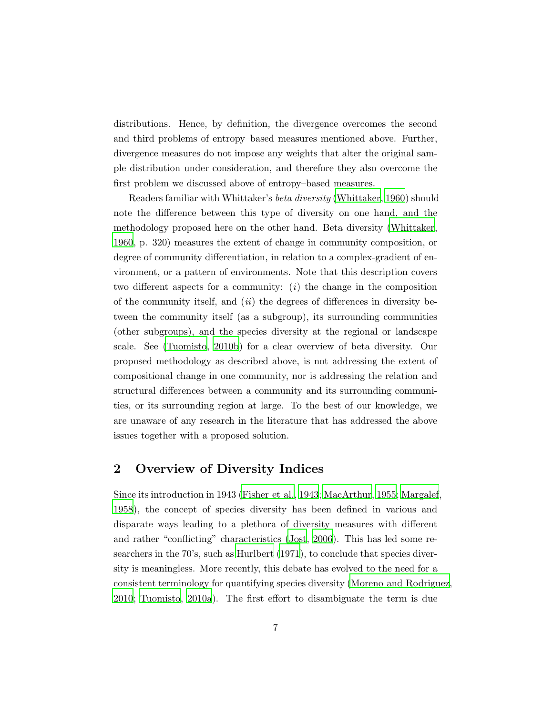distributions. Hence, by definition, the divergence overcomes the second and third problems of entropy–based measures mentioned above. Further, divergence measures do not impose any weights that alter the original sample distribution under consideration, and therefore they also overcome the first problem we discussed above of entropy–based measures.

Readers familiar with Whittaker's beta diversity [\(Whittaker](#page-19-1), [1960\)](#page-19-1) should note the difference between this type of diversity on one hand, and the methodology proposed here on the other hand. Beta diversity [\(Whittaker](#page-19-1), [1960](#page-19-1), p. 320) measures the extent of change in community composition, or degree of community differentiation, in relation to a complex-gradient of environment, or a pattern of environments. Note that this description covers two different aspects for a community:  $(i)$  the change in the composition of the community itself, and  $(ii)$  the degrees of differences in diversity between the community itself (as a subgroup), its surrounding communities (other subgroups), and the species diversity at the regional or landscape scale. See [\(Tuomisto](#page-19-2), [2010b\)](#page-19-2) for a clear overview of beta diversity. Our proposed methodology as described above, is not addressing the extent of compositional change in one community, nor is addressing the relation and structural differences between a community and its surrounding communities, or its surrounding region at large. To the best of our knowledge, we are unaware of any research in the literature that has addressed the above issues together with a proposed solution.

### 2 Overview of Diversity Indices

Since its introduction in 1943 [\(Fisher et al., 1943](#page-17-0); [MacArthur, 1955;](#page-18-3) [Margalef](#page-18-4), [1958](#page-18-4)), the concept of species diversity has been defined in various and disparate ways leading to a plethora of diversity measures with different and rather "conflicting" characteristics [\(Jost, 2006](#page-18-5)). This has led some researchers in the 70's, such as [Hurlbert \(1971](#page-18-6)), to conclude that species diversity is meaningless. More recently, this debate has evolved to the need for a consistent terminology for quantifying species diversity [\(Moreno and Rodriguez,](#page-18-7) [2010](#page-18-7); [Tuomisto, 2010a\)](#page-19-3). The first effort to disambiguate the term is due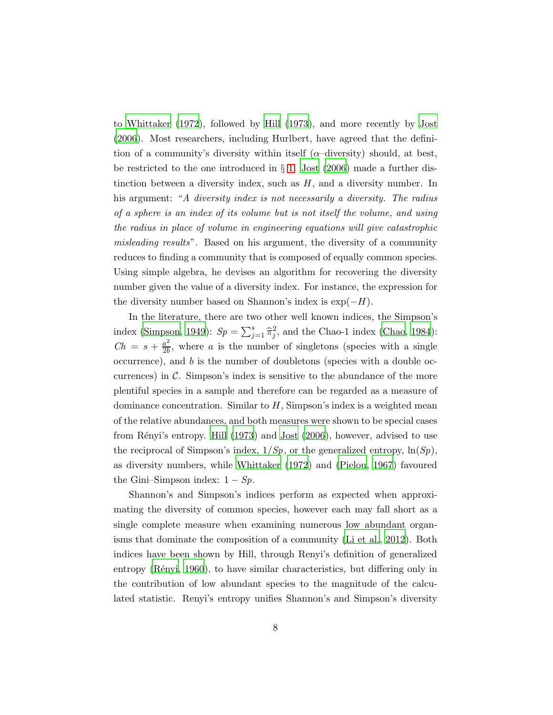to [Whittaker \(1972](#page-19-4)), followed by [Hill \(1973](#page-17-1)), and more recently by [Jost](#page-18-5) [\(2006\)](#page-18-5). Most researchers, including Hurlbert, have agreed that the definition of a community's diversity within itself ( $\alpha$ -diversity) should, at best, be restricted to the one introduced in § [1.](#page-1-0) [Jost \(2006](#page-18-5)) made a further distinction between a diversity index, such as  $H$ , and a diversity number. In his argument: "A diversity index is not necessarily a diversity. The radius of a sphere is an index of its volume but is not itself the volume, and using the radius in place of volume in engineering equations will give catastrophic misleading results". Based on his argument, the diversity of a community reduces to finding a community that is composed of equally common species. Using simple algebra, he devises an algorithm for recovering the diversity number given the value of a diversity index. For instance, the expression for the diversity number based on Shannon's index is  $\exp(-H)$ .

In the literature, there are two other well known indices, the Simpson's index [\(Simpson](#page-19-5), [1949\)](#page-19-5):  $Sp = \sum_{j=1}^{s} \hat{\pi}_j^2$ , and the Chao-1 index [\(Chao, 1984](#page-17-2)):  $Ch = s + \frac{a^2}{2b}$  $\frac{a^2}{2b}$ , where a is the number of singletons (species with a single  $occurrence$ , and  $b$  is the number of doubletons (species with a double occurrences) in  $\mathcal{C}$ . Simpson's index is sensitive to the abundance of the more plentiful species in a sample and therefore can be regarded as a measure of dominance concentration. Similar to  $H$ , Simpson's index is a weighted mean of the relative abundances, and both measures were shown to be special cases from Rényi's entropy. [Hill \(1973](#page-17-1)) and [Jost \(2006](#page-18-5)), however, advised to use the reciprocal of Simpson's index,  $1/Sp$ , or the generalized entropy,  $\ln(Sp)$ , as diversity numbers, while [Whittaker \(1972](#page-19-4)) and [\(Pielou, 1967](#page-18-8)) favoured the Gini–Simpson index:  $1 - Sp$ .

Shannon's and Simpson's indices perform as expected when approximating the diversity of common species, however each may fall short as a single complete measure when examining numerous low abundant organisms that dominate the composition of a community [\(Li et al.](#page-18-0), [2012\)](#page-18-0). Both indices have been shown by Hill, through Renyi's definition of generalized entropy (Rényi, [1960](#page-19-6)), to have similar characteristics, but differing only in the contribution of low abundant species to the magnitude of the calculated statistic. Renyi's entropy unifies Shannon's and Simpson's diversity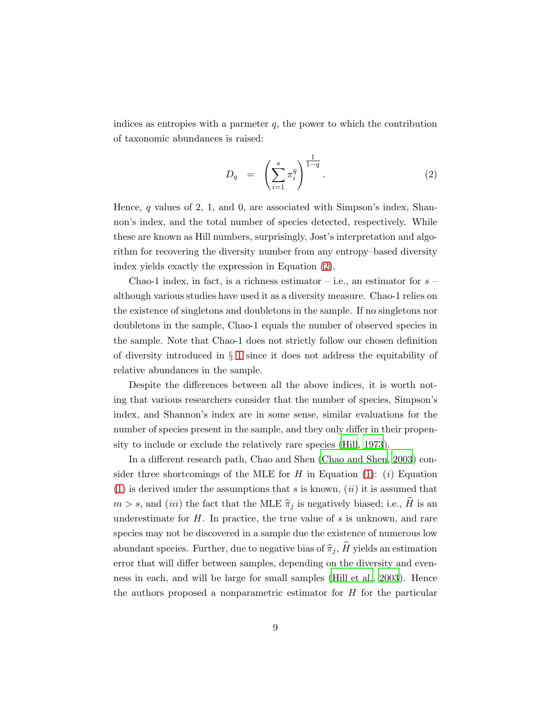indices as entropies with a parmeter  $q$ , the power to which the contribution of taxonomic abundances is raised:

<span id="page-8-0"></span>
$$
D_q = \left(\sum_{i=1}^s \pi_i^q\right)^{\frac{1}{1-q}}.\tag{2}
$$

Hence, q values of 2, 1, and 0, are associated with Simpson's index, Shannon's index, and the total number of species detected, respectively. While these are known as Hill numbers, surprisingly, Jost's interpretation and algorithm for recovering the diversity number from any entropy–based diversity index yields exactly the expression in Equation [\(2\)](#page-8-0).

Chao-1 index, in fact, is a richness estimator – i.e., an estimator for  $s$  – although various studies have used it as a diversity measure. Chao-1 relies on the existence of singletons and doubletons in the sample. If no singletons nor doubletons in the sample, Chao-1 equals the number of observed species in the sample. Note that Chao-1 does not strictly follow our chosen definition of diversity introduced in § [1](#page-1-0) since it does not address the equitability of relative abundances in the sample.

Despite the differences between all the above indices, it is worth noting that various researchers consider that the number of species, Simpson's index, and Shannon's index are in some sense, similar evaluations for the number of species present in the sample, and they only differ in their propensity to include or exclude the relatively rare species [\(Hill](#page-17-1), [1973\)](#page-17-1).

In a different research path, Chao and Shen [\(Chao and Shen](#page-17-3), [2003](#page-17-3)) con-sider three shortcomings of the MLE for H in Equation [\(1\)](#page-2-0): (*i*) Equation [\(1\)](#page-2-0) is derived under the assumptions that  $s$  is known,  $(ii)$  it is assumed that  $m > s$ , and *(iii)* the fact that the MLE  $\hat{\pi}_j$  is negatively biased; i.e.,  $\hat{H}$  is an underestimate for  $H$ . In practice, the true value of  $s$  is unknown, and rare species may not be discovered in a sample due the existence of numerous low abundant species. Further, due to negative bias of  $\hat{\pi}_j$ ,  $\hat{H}$  yields an estimation error that will differ between samples, depending on the diversity and evenness in each, and will be large for small samples [\(Hill et al.](#page-17-4), [2003](#page-17-4)). Hence the authors proposed a nonparametric estimator for  $H$  for the particular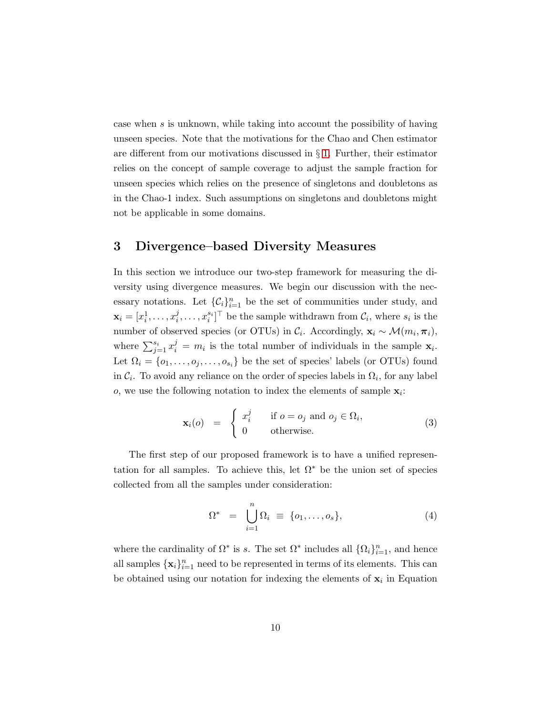case when s is unknown, while taking into account the possibility of having unseen species. Note that the motivations for the Chao and Chen estimator are different from our motivations discussed in § [1.](#page-1-0) Further, their estimator relies on the concept of sample coverage to adjust the sample fraction for unseen species which relies on the presence of singletons and doubletons as in the Chao-1 index. Such assumptions on singletons and doubletons might not be applicable in some domains.

#### <span id="page-9-0"></span>3 Divergence–based Diversity Measures

In this section we introduce our two-step framework for measuring the diversity using divergence measures. We begin our discussion with the necessary notations. Let  $\{\mathcal{C}_i\}_{i=1}^n$  be the set of communities under study, and  $\mathbf{x}_i = [x_i^1, \dots, x_i^j]$  $[x_i^j, \ldots, x_i^{s_i}]^{\top}$  be the sample withdrawn from  $\mathcal{C}_i$ , where  $s_i$  is the number of observed species (or OTUs) in  $\mathcal{C}_i$ . Accordingly,  $\mathbf{x}_i \sim \mathcal{M}(m_i, \boldsymbol{\pi}_i)$ , where  $\sum_{j=1}^{s_i} x_i^j = m_i$  is the total number of individuals in the sample  $\mathbf{x}_i$ . Let  $\Omega_i = \{o_1, \ldots, o_j, \ldots, o_{s_i}\}\$ be the set of species' labels (or OTUs) found in  $C_i$ . To avoid any reliance on the order of species labels in  $\Omega_i$ , for any label o, we use the following notation to index the elements of sample  $\mathbf{x}_i$ :

<span id="page-9-1"></span>
$$
\mathbf{x}_{i}(o) = \begin{cases} x_{i}^{j} & \text{if } o = o_{j} \text{ and } o_{j} \in \Omega_{i}, \\ 0 & \text{otherwise.} \end{cases}
$$
 (3)

The first step of our proposed framework is to have a unified representation for all samples. To achieve this, let  $\Omega^*$  be the union set of species collected from all the samples under consideration:

$$
\Omega^* = \bigcup_{i=1}^n \Omega_i \equiv \{o_1, \dots, o_s\},\tag{4}
$$

where the cardinality of  $\Omega^*$  is s. The set  $\Omega^*$  includes all  $\{\Omega_i\}_{i=1}^n$ , and hence all samples  $\{\mathbf x_i\}_{i=1}^n$  need to be represented in terms of its elements. This can be obtained using our notation for indexing the elements of  $x_i$  in Equation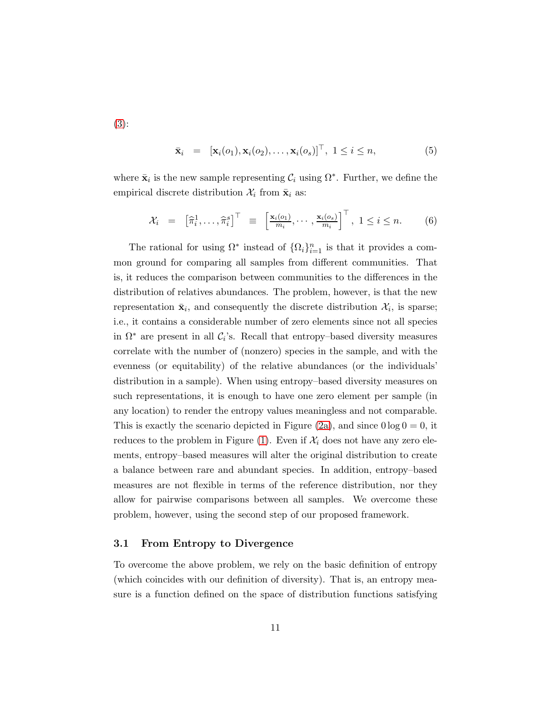[\(3\)](#page-9-1):

$$
\bar{\mathbf{x}}_i = [\mathbf{x}_i(o_1), \mathbf{x}_i(o_2), \dots, \mathbf{x}_i(o_s)]^\top, \ 1 \leq i \leq n,
$$
\n(5)

where  $\bar{\mathbf{x}}_i$  is the new sample representing  $\mathcal{C}_i$  using  $\Omega^*$ . Further, we define the empirical discrete distribution  $\mathcal{X}_i$  from  $\bar{\mathbf{x}}_i$  as:

$$
\mathcal{X}_i = \begin{bmatrix} \widehat{\pi}_i^1, \dots, \widehat{\pi}_i^s \end{bmatrix}^\top \equiv \begin{bmatrix} \frac{\mathbf{x}_i(o_1)}{m_i}, \dots, \frac{\mathbf{x}_i(o_s)}{m_i} \end{bmatrix}^\top, 1 \le i \le n. \tag{6}
$$

The rational for using  $\Omega^*$  instead of  $\{\Omega_i\}_{i=1}^n$  is that it provides a common ground for comparing all samples from different communities. That is, it reduces the comparison between communities to the differences in the distribution of relatives abundances. The problem, however, is that the new representation  $\bar{\mathbf{x}}_i$ , and consequently the discrete distribution  $\mathcal{X}_i$ , is sparse; i.e., it contains a considerable number of zero elements since not all species in  $\Omega^*$  are present in all  $C_i$ 's. Recall that entropy–based diversity measures correlate with the number of (nonzero) species in the sample, and with the evenness (or equitability) of the relative abundances (or the individuals' distribution in a sample). When using entropy–based diversity measures on such representations, it is enough to have one zero element per sample (in any location) to render the entropy values meaningless and not comparable. This is exactly the scenario depicted in Figure [\(2a\)](#page-4-0), and since  $0 \log 0 = 0$ , it reduces to the problem in Figure [\(1\)](#page-2-2). Even if  $\mathcal{X}_i$  does not have any zero elements, entropy–based measures will alter the original distribution to create a balance between rare and abundant species. In addition, entropy–based measures are not flexible in terms of the reference distribution, nor they allow for pairwise comparisons between all samples. We overcome these problem, however, using the second step of our proposed framework.

#### 3.1 From Entropy to Divergence

To overcome the above problem, we rely on the basic definition of entropy (which coincides with our definition of diversity). That is, an entropy measure is a function defined on the space of distribution functions satisfying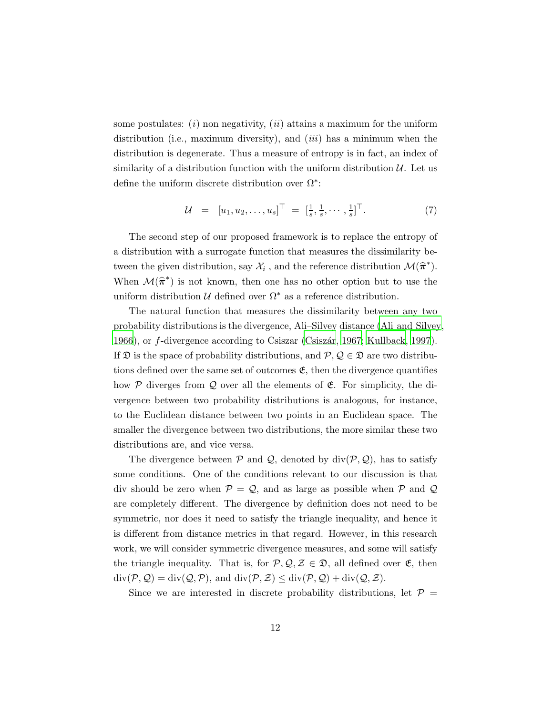some postulates:  $(i)$  non negativity,  $(ii)$  attains a maximum for the uniform distribution (i.e., maximum diversity), and  $(iii)$  has a minimum when the distribution is degenerate. Thus a measure of entropy is in fact, an index of similarity of a distribution function with the uniform distribution  $\mathcal{U}$ . Let us define the uniform discrete distribution over  $\Omega^*$ :

<span id="page-11-0"></span>
$$
\mathcal{U} = [u_1, u_2, \dots, u_s]^\top = [\frac{1}{s}, \frac{1}{s}, \dots, \frac{1}{s}]^\top. \tag{7}
$$

The second step of our proposed framework is to replace the entropy of a distribution with a surrogate function that measures the dissimilarity between the given distribution, say  $\mathcal{X}_i$ , and the reference distribution  $\mathcal{M}(\hat{\pi}^*)$ . When  $\mathcal{M}(\hat{\pi}^*)$  is not known, then one has no other option but to use the uniform distribution  $\mathcal U$  defined over  $\Omega^*$  as a reference distribution.

The natural function that measures the dissimilarity between any two probability distributions is the divergence, Ali–Silvey distance [\(Ali and Silvey,](#page-17-5) [1966](#page-17-5)), or f-divergence according to Csiszar (Csiszár, [1967](#page-17-6); [Kullback](#page-18-9), [1997](#page-18-9)). If  $\mathfrak D$  is the space of probability distributions, and  $\mathcal P, \mathcal Q \in \mathfrak D$  are two distributions defined over the same set of outcomes  $\mathfrak{E}$ , then the divergence quantifies how  $P$  diverges from  $Q$  over all the elements of  $E$ . For simplicity, the divergence between two probability distributions is analogous, for instance, to the Euclidean distance between two points in an Euclidean space. The smaller the divergence between two distributions, the more similar these two distributions are, and vice versa.

The divergence between  $P$  and  $Q$ , denoted by div( $P$ ,  $Q$ ), has to satisfy some conditions. One of the conditions relevant to our discussion is that div should be zero when  $P = Q$ , and as large as possible when P and Q are completely different. The divergence by definition does not need to be symmetric, nor does it need to satisfy the triangle inequality, and hence it is different from distance metrics in that regard. However, in this research work, we will consider symmetric divergence measures, and some will satisfy the triangle inequality. That is, for  $P, Q, Z \in \mathfrak{D}$ , all defined over  $\mathfrak{E}$ , then  $\mathrm{div}(\mathcal{P}, \mathcal{Q}) = \mathrm{div}(\mathcal{Q}, \mathcal{P})$ , and  $\mathrm{div}(\mathcal{P}, \mathcal{Z}) \leq \mathrm{div}(\mathcal{P}, \mathcal{Q}) + \mathrm{div}(\mathcal{Q}, \mathcal{Z})$ .

Since we are interested in discrete probability distributions, let  $\mathcal{P} =$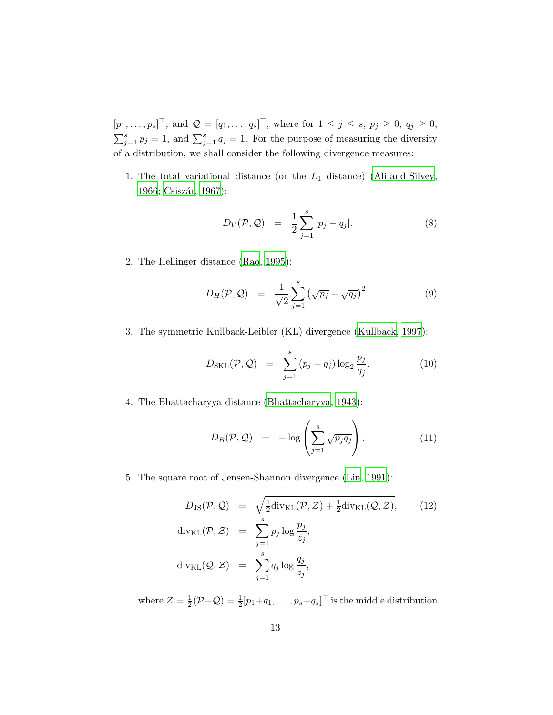$[p_1, \ldots, p_s]^\top$ , and  $\mathcal{Q} = [q_1, \ldots, q_s]^\top$ , where for  $1 \leq j \leq s$ ,  $p_j \geq 0$ ,  $q_j \geq 0$ ,  $\sum_{j=1}^{s} p_j = 1$ , and  $\sum_{j=1}^{s} q_j = 1$ . For the purpose of measuring the diversity of a distribution, we shall consider the following divergence measures:

1. The total variational distance (or the  $L_1$  distance) [\(Ali and Silvey](#page-17-5), [1966;](#page-17-5) Csiszár, 1967):

<span id="page-12-0"></span>
$$
D_V(\mathcal{P}, \mathcal{Q}) = \frac{1}{2} \sum_{j=1}^{s} |p_j - q_j|.
$$
 (8)

2. The Hellinger distance [\(Rao](#page-18-10), [1995](#page-18-10)):

$$
D_H(\mathcal{P}, \mathcal{Q}) = \frac{1}{\sqrt{2}} \sum_{j=1}^s \left( \sqrt{p_j} - \sqrt{q_j} \right)^2.
$$
 (9)

3. The symmetric Kullback-Leibler (KL) divergence [\(Kullback, 1997](#page-18-9)):

<span id="page-12-2"></span>
$$
D_{SKL}(\mathcal{P}, \mathcal{Q}) = \sum_{j=1}^{s} (p_j - q_j) \log_2 \frac{p_j}{q_j}.
$$
 (10)

4. The Bhattacharyya distance [\(Bhattacharyya](#page-17-7), [1943](#page-17-7)):

$$
D_B(\mathcal{P}, \mathcal{Q}) = -\log\left(\sum_{j=1}^s \sqrt{p_j q_j}\right). \tag{11}
$$

5. The square root of Jensen-Shannon divergence [\(Lin](#page-18-11), [1991\)](#page-18-11):

<span id="page-12-1"></span>
$$
D_{\text{JS}}(\mathcal{P}, \mathcal{Q}) = \sqrt{\frac{1}{2} \text{div}_{\text{KL}}(\mathcal{P}, \mathcal{Z}) + \frac{1}{2} \text{div}_{\text{KL}}(\mathcal{Q}, \mathcal{Z})}, \qquad (12)
$$
  
\n
$$
\text{div}_{\text{KL}}(\mathcal{P}, \mathcal{Z}) = \sum_{j=1}^{s} p_j \log \frac{p_j}{z_j},
$$
  
\n
$$
\text{div}_{\text{KL}}(\mathcal{Q}, \mathcal{Z}) = \sum_{j=1}^{s} q_j \log \frac{q_j}{z_j},
$$

where  $\mathcal{Z}=\frac{1}{2}$  $\frac{1}{2}(\mathcal{P} + \mathcal{Q}) = \frac{1}{2}[p_1 + q_1, \dots, p_s + q_s]^\top$  is the middle distribution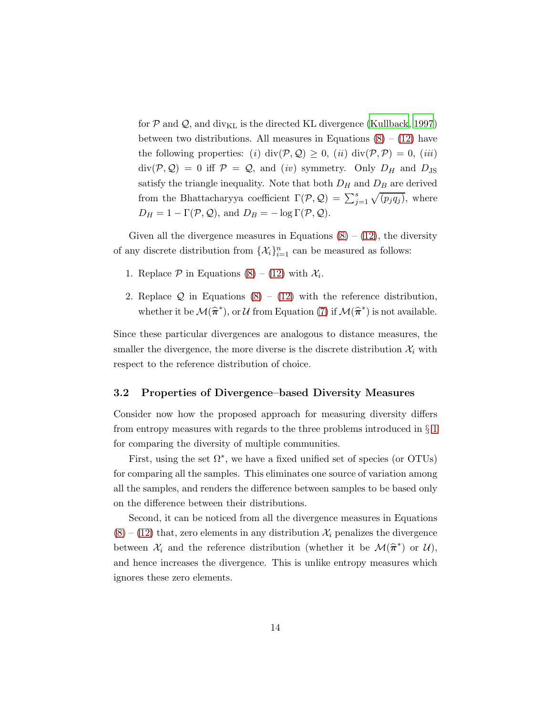for  $P$  and  $Q$ , and div<sub>KL</sub> is the directed KL divergence [\(Kullback](#page-18-9), [1997](#page-18-9)) between two distributions. All measures in Equations  $(8) - (12)$  $(8) - (12)$  have the following properties: (i) div( $P, Q$ )  $\geq 0$ , (ii) div( $P, P$ ) = 0, (iii)  $div(\mathcal{P}, \mathcal{Q}) = 0$  iff  $\mathcal{P} = \mathcal{Q}$ , and (iv) symmetry. Only  $D_H$  and  $D_{JS}$ satisfy the triangle inequality. Note that both  $D_H$  and  $D_B$  are derived from the Bhattacharyya coefficient  $\Gamma(\mathcal{P}, \mathcal{Q}) = \sum_{j=1}^{s} \sqrt{(p_j q_j)}$ , where  $D_H = 1 - \Gamma(\mathcal{P}, \mathcal{Q}),$  and  $D_B = -\log \Gamma(\mathcal{P}, \mathcal{Q}).$ 

Given all the divergence measures in Equations  $(8) - (12)$  $(8) - (12)$ , the diversity of any discrete distribution from  $\{\mathcal{X}_i\}_{i=1}^n$  can be measured as follows:

- 1. Replace  $P$  in Equations [\(8\)](#page-12-0) – [\(12\)](#page-12-1) with  $\mathcal{X}_i$ .
- 2. Replace  $\mathcal Q$  in Equations  $(8) (12)$  $(8) (12)$  with the reference distribution, whether it be  $\mathcal{M}(\hat{\pi}^*)$ , or U from Equation [\(7\)](#page-11-0) if  $\mathcal{M}(\hat{\pi}^*)$  is not available.

Since these particular divergences are analogous to distance measures, the smaller the divergence, the more diverse is the discrete distribution  $\mathcal{X}_i$  with respect to the reference distribution of choice.

#### 3.2 Properties of Divergence–based Diversity Measures

Consider now how the proposed approach for measuring diversity differs from entropy measures with regards to the three problems introduced in § [1](#page-1-0) for comparing the diversity of multiple communities.

First, using the set  $\Omega^*$ , we have a fixed unified set of species (or OTUs) for comparing all the samples. This eliminates one source of variation among all the samples, and renders the difference between samples to be based only on the difference between their distributions.

Second, it can be noticed from all the divergence measures in Equations  $(8) - (12)$  $(8) - (12)$  $(8) - (12)$  that, zero elements in any distribution  $\mathcal{X}_i$  penalizes the divergence between  $\mathcal{X}_i$  and the reference distribution (whether it be  $\mathcal{M}(\hat{\pi}^*)$  or  $\mathcal{U}$ ), and hence increases the divergence. This is unlike entropy measures which ignores these zero elements.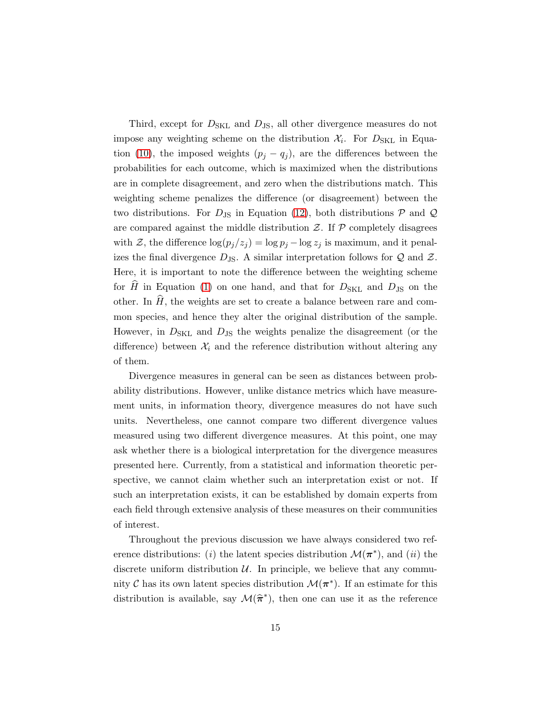Third, except for  $D_{SKL}$  and  $D_{JS}$ , all other divergence measures do not impose any weighting scheme on the distribution  $\mathcal{X}_i$ . For  $D_{SKL}$  in Equa-tion [\(10\)](#page-12-2), the imposed weights  $(p_j - q_j)$ , are the differences between the probabilities for each outcome, which is maximized when the distributions are in complete disagreement, and zero when the distributions match. This weighting scheme penalizes the difference (or disagreement) between the two distributions. For  $D_{\text{JS}}$  in Equation [\(12\)](#page-12-1), both distributions  $P$  and  $Q$ are compared against the middle distribution  $\mathcal{Z}$ . If  $\mathcal{P}$  completely disagrees with Z, the difference  $\log(p_i/z_i) = \log p_i - \log z_i$  is maximum, and it penalizes the final divergence  $D_{\text{JS}}$ . A similar interpretation follows for Q and Z. Here, it is important to note the difference between the weighting scheme for  $\hat{H}$  in Equation [\(1\)](#page-2-0) on one hand, and that for  $D_{SKL}$  and  $D_{JS}$  on the other. In  $\widehat{H}$ , the weights are set to create a balance between rare and common species, and hence they alter the original distribution of the sample. However, in  $D_{SKL}$  and  $D_{JS}$  the weights penalize the disagreement (or the difference) between  $\mathcal{X}_i$  and the reference distribution without altering any of them.

Divergence measures in general can be seen as distances between probability distributions. However, unlike distance metrics which have measurement units, in information theory, divergence measures do not have such units. Nevertheless, one cannot compare two different divergence values measured using two different divergence measures. At this point, one may ask whether there is a biological interpretation for the divergence measures presented here. Currently, from a statistical and information theoretic perspective, we cannot claim whether such an interpretation exist or not. If such an interpretation exists, it can be established by domain experts from each field through extensive analysis of these measures on their communities of interest.

Throughout the previous discussion we have always considered two reference distributions: (*i*) the latent species distribution  $\mathcal{M}(\pi^*)$ , and (*ii*) the discrete uniform distribution  $U$ . In principle, we believe that any community  $\mathcal C$  has its own latent species distribution  $\mathcal M(\pi^*)$ . If an estimate for this distribution is available, say  $\mathcal{M}(\hat{\pi}^*)$ , then one can use it as the reference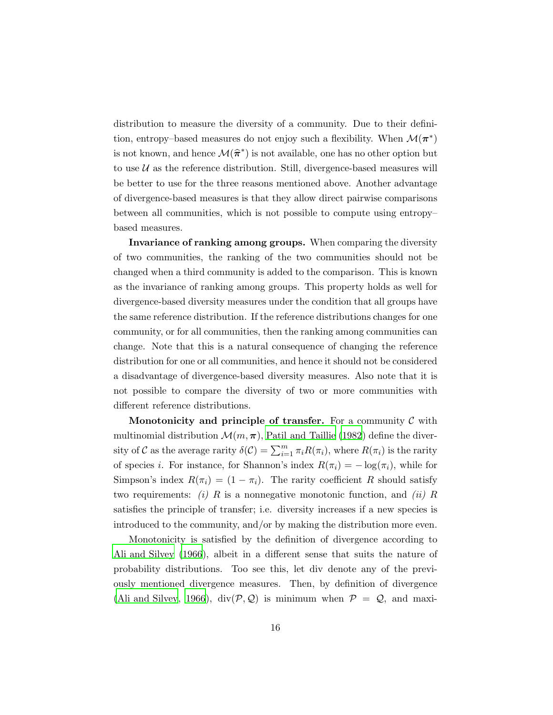distribution to measure the diversity of a community. Due to their definition, entropy–based measures do not enjoy such a flexibility. When  $\mathcal{M}(\boldsymbol{\pi}^*)$ is not known, and hence  $\mathcal{M}(\widehat{\pi}^*)$  is not available, one has no other option but to use  $U$  as the reference distribution. Still, divergence-based measures will be better to use for the three reasons mentioned above. Another advantage of divergence-based measures is that they allow direct pairwise comparisons between all communities, which is not possible to compute using entropy– based measures.

Invariance of ranking among groups. When comparing the diversity of two communities, the ranking of the two communities should not be changed when a third community is added to the comparison. This is known as the invariance of ranking among groups. This property holds as well for divergence-based diversity measures under the condition that all groups have the same reference distribution. If the reference distributions changes for one community, or for all communities, then the ranking among communities can change. Note that this is a natural consequence of changing the reference distribution for one or all communities, and hence it should not be considered a disadvantage of divergence-based diversity measures. Also note that it is not possible to compare the diversity of two or more communities with different reference distributions.

Monotonicity and principle of transfer. For a community  $\mathcal C$  with multinomial distribution  $\mathcal{M}(m,\pi)$ , [Patil and Taillie \(1982](#page-18-12)) define the diversity of C as the average rarity  $\delta(C) = \sum_{i=1}^{m} \pi_i R(\pi_i)$ , where  $R(\pi_i)$  is the rarity of species *i*. For instance, for Shannon's index  $R(\pi_i) = -\log(\pi_i)$ , while for Simpson's index  $R(\pi_i) = (1 - \pi_i)$ . The rarity coefficient R should satisfy two requirements: (i) R is a nonnegative monotonic function, and (ii) R satisfies the principle of transfer; i.e. diversity increases if a new species is introduced to the community, and/or by making the distribution more even.

Monotonicity is satisfied by the definition of divergence according to [Ali and Silvey \(1966](#page-17-5)), albeit in a different sense that suits the nature of probability distributions. Too see this, let div denote any of the previously mentioned divergence measures. Then, by definition of divergence [\(Ali and Silvey](#page-17-5), [1966\)](#page-17-5),  $\text{div}(\mathcal{P}, \mathcal{Q})$  is minimum when  $\mathcal{P} = \mathcal{Q}$ , and maxi-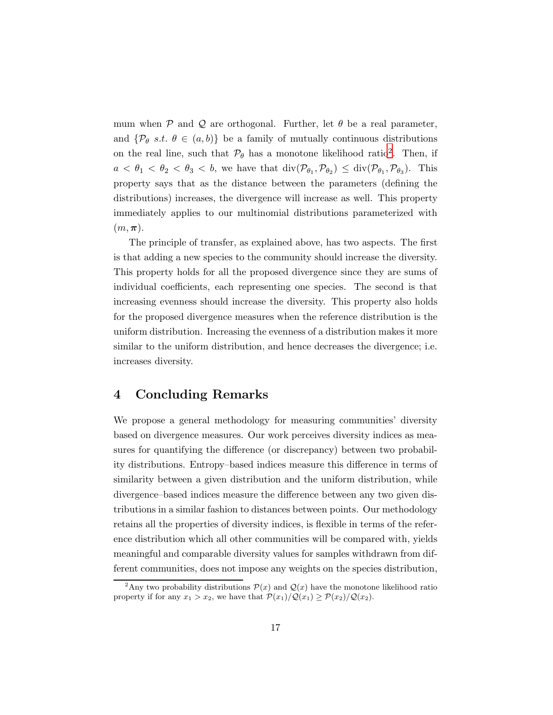mum when  $P$  and  $Q$  are orthogonal. Further, let  $\theta$  be a real parameter, and  $\{\mathcal{P}_{\theta} s.t. \theta \in (a, b)\}\$ be a family of mutually continuous distributions on the real line, such that  $\mathcal{P}_{\theta}$  has a monotone likelihood ratio<sup>[2](#page-16-0)</sup>. Then, if  $a < \theta_1 < \theta_2 < \theta_3 < b$ , we have that  $\text{div}(\mathcal{P}_{\theta_1}, \mathcal{P}_{\theta_2}) \leq \text{div}(\mathcal{P}_{\theta_1}, \mathcal{P}_{\theta_3})$ . This property says that as the distance between the parameters (defining the distributions) increases, the divergence will increase as well. This property immediately applies to our multinomial distributions parameterized with  $(m, \pi).$ 

The principle of transfer, as explained above, has two aspects. The first is that adding a new species to the community should increase the diversity. This property holds for all the proposed divergence since they are sums of individual coefficients, each representing one species. The second is that increasing evenness should increase the diversity. This property also holds for the proposed divergence measures when the reference distribution is the uniform distribution. Increasing the evenness of a distribution makes it more similar to the uniform distribution, and hence decreases the divergence; i.e. increases diversity.

## 4 Concluding Remarks

We propose a general methodology for measuring communities' diversity based on divergence measures. Our work perceives diversity indices as measures for quantifying the difference (or discrepancy) between two probability distributions. Entropy–based indices measure this difference in terms of similarity between a given distribution and the uniform distribution, while divergence–based indices measure the difference between any two given distributions in a similar fashion to distances between points. Our methodology retains all the properties of diversity indices, is flexible in terms of the reference distribution which all other communities will be compared with, yields meaningful and comparable diversity values for samples withdrawn from different communities, does not impose any weights on the species distribution,

<span id="page-16-0"></span><sup>&</sup>lt;sup>2</sup>Any two probability distributions  $\mathcal{P}(x)$  and  $\mathcal{Q}(x)$  have the monotone likelihood ratio property if for any  $x_1 > x_2$ , we have that  $\mathcal{P}(x_1)/\mathcal{Q}(x_1) \ge \mathcal{P}(x_2)/\mathcal{Q}(x_2)$ .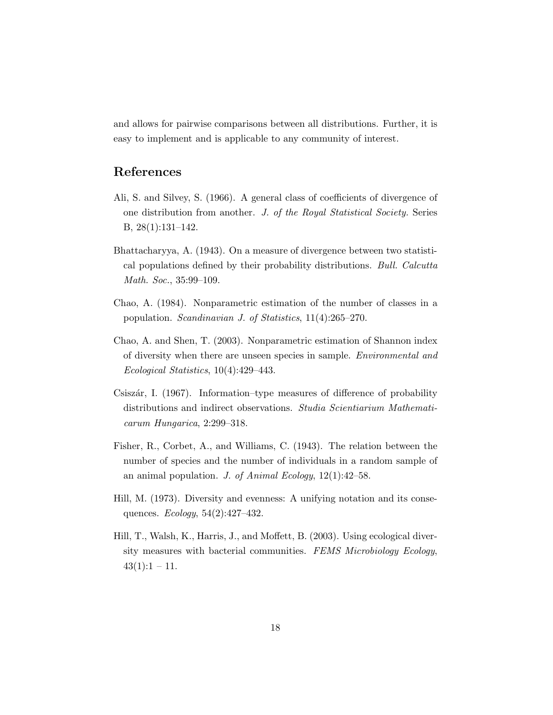and allows for pairwise comparisons between all distributions. Further, it is easy to implement and is applicable to any community of interest.

### References

- <span id="page-17-5"></span>Ali, S. and Silvey, S. (1966). A general class of coefficients of divergence of one distribution from another. J. of the Royal Statistical Society. Series B, 28(1):131–142.
- <span id="page-17-7"></span>Bhattacharyya, A. (1943). On a measure of divergence between two statistical populations defined by their probability distributions. Bull. Calcutta Math. Soc., 35:99–109.
- <span id="page-17-2"></span>Chao, A. (1984). Nonparametric estimation of the number of classes in a population. Scandinavian J. of Statistics, 11(4):265–270.
- <span id="page-17-3"></span>Chao, A. and Shen, T. (2003). Nonparametric estimation of Shannon index of diversity when there are unseen species in sample. Environmental and Ecological Statistics, 10(4):429–443.
- <span id="page-17-6"></span>Csiszár, I. (1967). Information–type measures of difference of probability distributions and indirect observations. Studia Scientiarium Mathematicarum Hungarica, 2:299–318.
- <span id="page-17-0"></span>Fisher, R., Corbet, A., and Williams, C. (1943). The relation between the number of species and the number of individuals in a random sample of an animal population. J. of Animal Ecology,  $12(1):42-58$ .
- <span id="page-17-1"></span>Hill, M. (1973). Diversity and evenness: A unifying notation and its consequences. Ecology, 54(2):427–432.
- <span id="page-17-4"></span>Hill, T., Walsh, K., Harris, J., and Moffett, B. (2003). Using ecological diversity measures with bacterial communities. FEMS Microbiology Ecology,  $43(1):1 - 11.$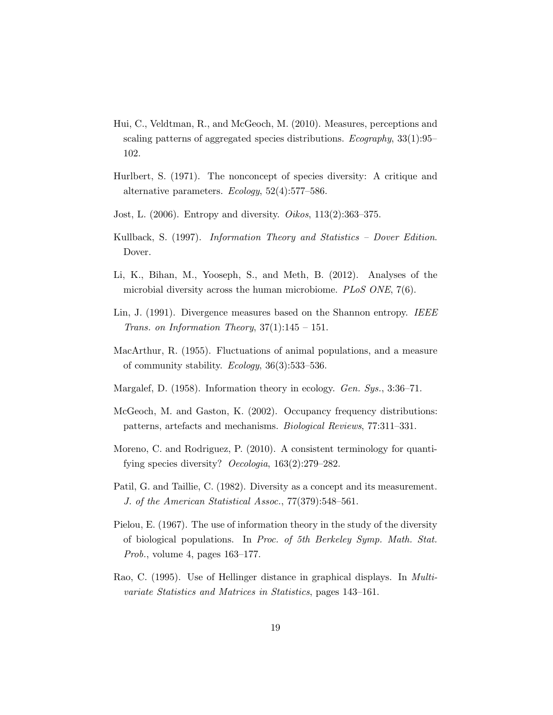- <span id="page-18-2"></span>Hui, C., Veldtman, R., and McGeoch, M. (2010). Measures, perceptions and scaling patterns of aggregated species distributions. Ecography, 33(1):95– 102.
- <span id="page-18-6"></span>Hurlbert, S. (1971). The nonconcept of species diversity: A critique and alternative parameters. Ecology, 52(4):577–586.
- <span id="page-18-5"></span>Jost, L.  $(2006)$ . Entropy and diversity. *Oikos*, 113 $(2)$ :363–375.
- <span id="page-18-9"></span>Kullback, S. (1997). Information Theory and Statistics – Dover Edition. Dover.
- <span id="page-18-0"></span>Li, K., Bihan, M., Yooseph, S., and Meth, B. (2012). Analyses of the microbial diversity across the human microbiome. *PLoS ONE*, 7(6).
- <span id="page-18-11"></span>Lin, J. (1991). Divergence measures based on the Shannon entropy. IEEE Trans. on Information Theory,  $37(1):145 - 151$ .
- <span id="page-18-3"></span>MacArthur, R. (1955). Fluctuations of animal populations, and a measure of community stability. Ecology, 36(3):533–536.
- <span id="page-18-4"></span>Margalef, D.  $(1958)$ . Information theory in ecology. *Gen. Sys.*, 3:36–71.
- <span id="page-18-1"></span>McGeoch, M. and Gaston, K. (2002). Occupancy frequency distributions: patterns, artefacts and mechanisms. Biological Reviews, 77:311–331.
- <span id="page-18-7"></span>Moreno, C. and Rodriguez, P. (2010). A consistent terminology for quantifying species diversity? Oecologia, 163(2):279–282.
- <span id="page-18-12"></span>Patil, G. and Taillie, C. (1982). Diversity as a concept and its measurement. J. of the American Statistical Assoc., 77(379):548–561.
- <span id="page-18-8"></span>Pielou, E. (1967). The use of information theory in the study of the diversity of biological populations. In Proc. of 5th Berkeley Symp. Math. Stat. Prob., volume 4, pages 163–177.
- <span id="page-18-10"></span>Rao, C. (1995). Use of Hellinger distance in graphical displays. In Multivariate Statistics and Matrices in Statistics, pages 143–161.